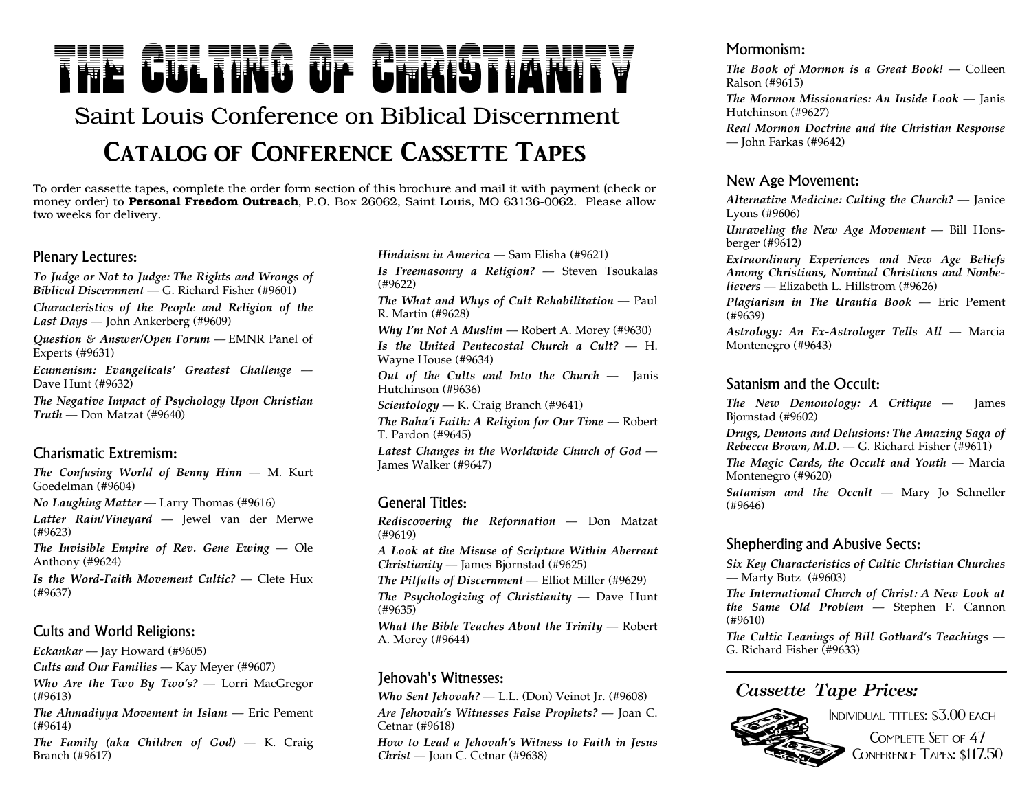# THE AIH TING OF AURIGTIA

## Saint Louis Conference on Biblical Discernment **Catalog of Conference Cassette Tapes**

To order cassette tapes, complete the order form section of this brochure and mail it with paymen<sup>t</sup> (check or money order) to **Personal Freedom Outreach**, P.O. Box 26062, Saint Louis, MO 63136-0062. Please allow two weeks for delivery.

#### Plenary Lectures:

*To Judge or Not to Judge: The Rights and Wrongs of Biblical Discernment* — G. Richard Fisher (#9601)

*Characteristics of the People and Religion of the Last Days* — John Ankerberg (#9609)

*Question & Answer/Open Forum* — EMNR Panel of Experts (#9631)

*Ecumenism: Evangelicals' Greatest Challenge* —Dave Hunt (#9632)

*The Negative Impact of Psychology Upon Christian Truth* — Don Matzat (#9640)

#### Charismatic Extremism:

*The Confusing World of Benny Hinn* — M. Kurt Goedelman (#9604)

*No Laughing Matter* — Larry Thomas (#9616)

*Latter Rain/Vineyard* — Jewel van der Merwe (#9623)

*The* **Invisible** *Empire* of Rev. Gene  $Ewing$  — Ole Anthony (#9624)

*Is the Word-Faith Movement Cultic?* — Clete Hux(#9637)

#### Cults and World Religions:

*Eckankar* — Jay Howard (#9605)

*Cults and Our Families* — Kay Meyer (#9607)

*Who Are the Two By Two's?* — Lorri MacGregor (#9613)

*The Ahmadiyya Movement in Islam* — Eric Pement (#9614)

*The Family (aka Children of God)* — K. Craig Branch (#9617)

*Hinduism in America* — Sam Elisha (#9621)

*Is Freemasonry <sup>a</sup> Religion?* — Steven Tsoukalas (#9622)

*The What and Whys of Cult Rehabilitation* — Paul R. Martin (#9628)

*Why I'm Not <sup>A</sup> Muslim* — Robert A. Morey (#9630)

*Is the United Pentecostal Church <sup>a</sup> Cult?* — H. Wayne House (#9634)

*Out of the Cults and Into the Church* — Janis Hutchinson (#9636)

*Scientology* — K. Craig Branch (#9641)

*The Baha'i Faith: <sup>A</sup> Religion for Our Time* — Robert T. Pardon (#9645)

*Latest Changes in the Worldwide Church of God* —James Walker (#9647)

#### General Titles:

*Rediscovering the Reformation* — Don Matzat (#9619)

*A Look at the Misuse of Scripture Within Aberrant Christianity* — James Bjornstad (#9625)

*The Pitfalls of Discernment* — Elliot Miller (#9629)

*The Psychologizing of Christianity* — Dave Hunt (#9635)

*What the Bible Teaches About the Trinity* — Robert A. Morey (#9644)

#### Jehovah's Witnesses:

*Who Sent Jehovah?* — L.L. (Don) Veinot Jr. (#9608) *Are Jehovah's Witnesses False Prophets?* — Joan C. Cetnar (#9618)

*How to Lead <sup>a</sup> Jehovah's Witness to Faith in Jesus Christ* — Joan C. Cetnar (#9638)

#### Mormonism:

*The Book of Mormon is <sup>a</sup> Great Book!* — Colleen Ralson (#9615)

*The Mormon Missionaries: An Inside Look* — Janis Hutchinson (#9627)

*Real Mormon Doctrine and the Christian Response* — John Farkas (#9642)

#### New Age Movement:

*Alternative Medicine: Culting the Church?* — Janice Lyons (#9606)

*Unraveling the New Age Movement* — Bill Honsberger (#9612)

*Extraordinary Experiences and New Age Beliefs Among Christians, Nominal Christians and Nonbelievers* — Elizabeth L. Hillstrom (#9626)

*Plagiarism in The Urantia Book* — Eric Pement (#9639)

*Astrology: An Ex-Astrologer Tells All* — Marcia Montenegro (#9643)

#### Satanism and the Occult:

*The New Demonology: <sup>A</sup> Critique* — James Bjornstad (#9602)

*Drugs, Demons and Delusions: The Amazing Saga of Rebecca Brown, M.D.* — G. Richard Fisher (#9611)

*The Magic Cards, the Occult and Youth* — Marcia Montenegro (#9620)

*Satanism and the Occult* — Mary Jo Schneller (#9646)

#### Shepherding and Abusive Sects:

*Six Key Characteristics of Cultic Christian Churches* — Marty Butz (#9603)

*The International Church of Christ: <sup>A</sup> New Look at the Same Old Problem* — Stephen F. Cannon (#9610)

*The Cultic Leanings of Bill Gothard's Teachings* —G. Richard Fisher (#9633)

#### *Cassette Tape Prices:*



COMPLETE SET OF 47 Conference Tapes: \$117.50

Individual titles: \$3.00 each